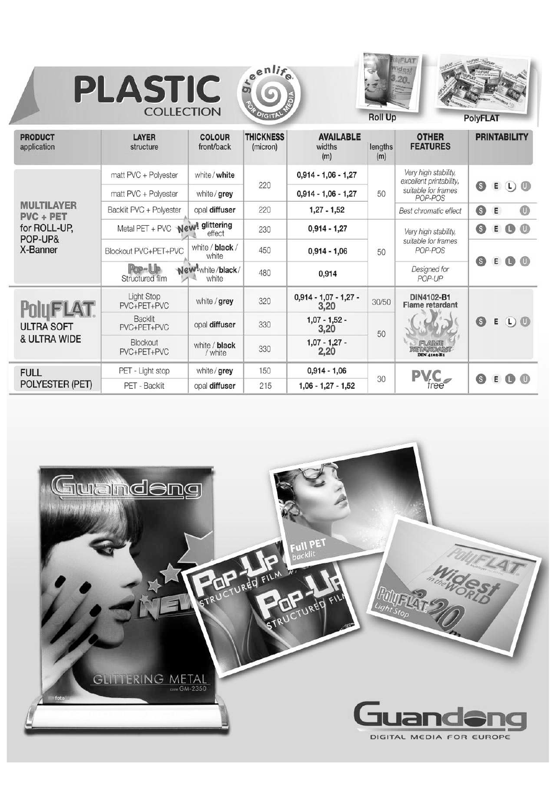







**Roll Up** 

**PolyFLAT** 

| <b>PRODUCT</b><br>application         | <b>LAYER</b><br>structure       | <b>COLOUR</b><br>front/back | <b>THICKNESS</b><br>(micron) | <b>AVAILABLE</b><br>widths<br>(m)             | lengths<br>(m) | <b>OTHER</b><br><b>FEATURES</b>                                                   | <b>PRINTABILITY</b>            |
|---------------------------------------|---------------------------------|-----------------------------|------------------------------|-----------------------------------------------|----------------|-----------------------------------------------------------------------------------|--------------------------------|
|                                       | matt PVC + Polyester            | white / white               |                              | $0,914 - 1,06 - 1,27$                         | 50             | Very high stability,<br>excellent printability,<br>suitable for frames<br>POP-POS |                                |
|                                       | matt PVC + Polyester            | white / grey                | 220                          | $0,914 - 1,06 - 1,27$                         |                |                                                                                   | $\odot$ 0<br>0<br>E            |
| <b>MULTILAYER</b><br><b>PVC + PET</b> | Backlit PVC + Polyester         | opal diffuser               | 220                          | $1,27 - 1,52$                                 |                | Best chromatic effect                                                             | $\circledcirc$<br>0<br>E       |
| for ROLL-UP,<br>POP-UP&<br>X-Banner   | Metal PET + PVC New! glittering | effect                      | 230                          | $0,914 - 1,27$<br>450<br>$0,914 - 1,06$<br>50 |                | Very high stability,<br>suitable for frames<br>POP-POS                            | 0<br>$\circledcirc$<br>Е<br>G  |
|                                       | Blockout PVC+PET+PVC            | white / black /<br>white    |                              |                                               |                |                                                                                   | 0                              |
|                                       | Pop-Up<br>Structured film       | New!white/black/<br>white   | 480                          | 0,914                                         |                | Designed for<br>POP-UP                                                            | $E \odot \odot$                |
| <b>POIUFLAT</b>                       | Light Stop<br>PVC+PET+PVC       | white / grey                | 320                          | $0,914 - 1,07 - 1,27 -$<br>3,20               | 30/50          | DIN4102-B1<br>Flame retardant                                                     |                                |
| <b>ULTRA SOFT</b>                     | Backlit<br>PVC+PET+PVC          | opal diffuser               | 330                          | $1,07 - 1,52 -$<br>3,20                       | 50             | FLAME<br><b>RIETAVRIDAVNIC</b><br><b>DIN 4102-B1</b>                              | EDO<br>0                       |
| & ULTRA WIDE                          | Blockout<br>PVC+PET+PVC         | white / black<br>/ white    | 330                          | $1,07 - 1,27 -$<br>2,20                       |                |                                                                                   |                                |
| <b>FULL</b>                           | PET - Light stop                | white / grey                | 150                          | $0,914 - 1,06$                                |                | <b>PVC</b>                                                                        |                                |
| POLYESTER (PET)                       | PET - Backlit                   | opal diffuser               | 215                          | $1,06 - 1,27 - 1,52$                          | 30             | <i>tree</i>                                                                       | <b>E © ©</b><br>$\circledcirc$ |

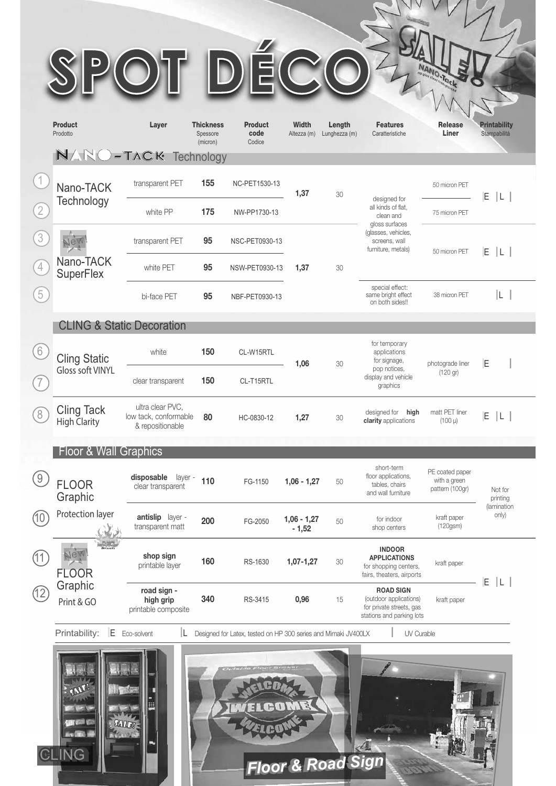|      | <b>Product</b><br>Prodotto               | Layer                                                         | <b>Thickness</b><br>Spessore<br>(micron) | <b>Product</b><br>code<br>Codice                               | <b>Width</b><br>Altezza (m) | Length<br>Lunghezza (m) | <b>Features</b><br>Caratteristiche                                                                                              | <b>Release</b><br>Liner                            | <b>Printability</b><br>Stampabilità |  |
|------|------------------------------------------|---------------------------------------------------------------|------------------------------------------|----------------------------------------------------------------|-----------------------------|-------------------------|---------------------------------------------------------------------------------------------------------------------------------|----------------------------------------------------|-------------------------------------|--|
|      | NARO-TACK Technology                     |                                                               |                                          |                                                                |                             |                         |                                                                                                                                 |                                                    |                                     |  |
|      | Nano-TACK                                | transparent PET                                               | 155                                      | NC-PET1530-13                                                  | 1,37                        | 30                      | designed for<br>all kinds of flat,<br>clean and<br>gloss surfaces<br>(glasses, vehicles,<br>screens, wall<br>furniture, metals) | 50 micron PET                                      | E L                                 |  |
|      | Technology                               | white PP                                                      | 175                                      | NW-PP1730-13                                                   |                             |                         |                                                                                                                                 | 75 micron PET                                      |                                     |  |
|      |                                          | transparent PET                                               | 95                                       | NSC-PET0930-13                                                 |                             | 30                      |                                                                                                                                 | 50 micron PET                                      | E L                                 |  |
|      | Nano-TACK<br><b>SuperFlex</b>            | white PET                                                     | 95                                       | NSW-PET0930-13                                                 | 1,37                        |                         |                                                                                                                                 |                                                    |                                     |  |
|      |                                          | bi-face PET                                                   | 95                                       | NBF-PET0930-13                                                 |                             |                         | special effect:<br>same bright effect<br>on both sides!!                                                                        | 38 micron PET                                      | IL I                                |  |
|      | <b>CLING &amp; Static Decoration</b>     |                                                               |                                          |                                                                |                             |                         |                                                                                                                                 |                                                    |                                     |  |
|      | <b>Cling Static</b>                      | white                                                         | 150                                      | CL-W15RTL                                                      |                             | 30                      | for temporary<br>applications<br>for signage,<br>pop notices,<br>display and vehicle<br>graphics                                | photograde liner<br>(120 gr)                       |                                     |  |
|      | <b>Gloss soft VINYL</b>                  | clear transparent                                             | 150                                      | CL-T15RTL                                                      | 1,06                        |                         |                                                                                                                                 |                                                    | E                                   |  |
|      | <b>Cling Tack</b><br><b>High Clarity</b> | ultra clear PVC,<br>low tack, conformable<br>& repositionable | 80                                       | HC-0830-12                                                     | 1,27                        | 30                      | designed for high<br>clarity applications                                                                                       | matt PET liner<br>$(100 \mu)$                      | E.<br> L                            |  |
|      | <b>Floor &amp; Wall Graphics</b>         |                                                               |                                          |                                                                |                             |                         |                                                                                                                                 |                                                    |                                     |  |
|      | <b>FLOOR</b><br>Graphic                  | disposable<br>layer -<br>clear transparent                    | 110                                      | FG-1150                                                        | $1,06 - 1,27$               | 50                      | short-term<br>floor applications,<br>tables, chairs<br>and wall furniture                                                       | PE coated paper<br>with a green<br>pattern (100gr) | Not for<br>printing                 |  |
| (10) | Protection layer                         | antislip layer -<br>transparent matt                          | 200                                      | FG-2050                                                        | $1,06 - 1,27$<br>$-1,52$    | 50                      | for indoor<br>shop centers                                                                                                      | kraft paper<br>$(120$ gsm $)$                      | <i>(lamination)</i><br>only)        |  |
|      | <b>FLOOR</b>                             | shop sign<br>printable layer                                  | 160                                      | RS-1630                                                        | $1,07-1,27$                 | 30                      | <b>INDOOR</b><br><b>APPLICATIONS</b><br>for shopping centers,<br>fairs, theaters, airports                                      | kraft paper                                        | E L                                 |  |
| (12) | Graphic<br>Print & GO                    | road sign -<br>high grip<br>printable composite               | 340                                      | RS-3415                                                        | 0,96                        | 15                      | <b>ROAD SIGN</b><br>(outdoor applications)<br>for private streets, gas<br>stations and parking lots                             | kraft paper                                        |                                     |  |
|      | E.<br>Printability:                      | IL<br>Eco-solvent                                             |                                          | Designed for Latex, tested on HP 300 series and Mimaki JV400LX |                             |                         | UV Curable                                                                                                                      |                                                    |                                     |  |
|      |                                          |                                                               |                                          |                                                                |                             |                         |                                                                                                                                 |                                                    |                                     |  |

MYVVI